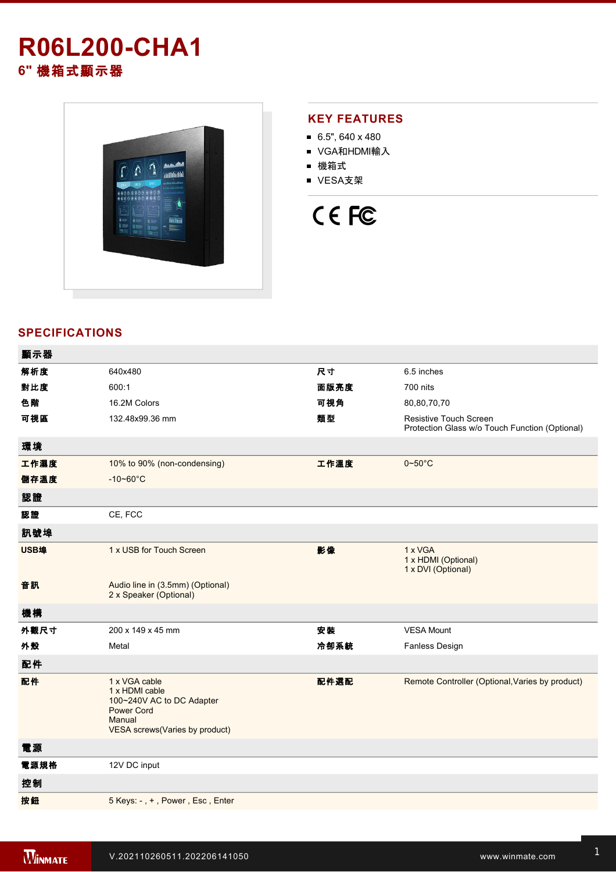# **R06L200-CHA1 6"** 機箱式顯示器



### **KEY FEATURES**

- $6.5$ ", 640 x 480
- VGA和HDMI輸入
- 機箱式
- VESA支架

# CE FC

## **SPECIFICATIONS**

| 顯示器  |                                                                                                                               |      |                                                                                 |
|------|-------------------------------------------------------------------------------------------------------------------------------|------|---------------------------------------------------------------------------------|
| 解析度  | 640x480                                                                                                                       | 尺寸   | 6.5 inches                                                                      |
| 對比度  | 600:1                                                                                                                         | 面版亮度 | 700 nits                                                                        |
| 色階   | 16.2M Colors                                                                                                                  | 可視角  | 80,80,70,70                                                                     |
| 可視區  | 132.48x99.36 mm                                                                                                               | 類型   | <b>Resistive Touch Screen</b><br>Protection Glass w/o Touch Function (Optional) |
| 環境   |                                                                                                                               |      |                                                                                 |
| 工作濕度 | 10% to 90% (non-condensing)                                                                                                   | 工作溫度 | $0 - 50$ °C                                                                     |
| 儲存溫度 | $-10 - 60^{\circ}C$                                                                                                           |      |                                                                                 |
| 認證   |                                                                                                                               |      |                                                                                 |
| 認證   | CE, FCC                                                                                                                       |      |                                                                                 |
| 訊號埠  |                                                                                                                               |      |                                                                                 |
| USB埠 | 1 x USB for Touch Screen                                                                                                      | 影像   | 1 x VGA<br>1 x HDMI (Optional)<br>1 x DVI (Optional)                            |
| 音訊   | Audio line in (3.5mm) (Optional)<br>2 x Speaker (Optional)                                                                    |      |                                                                                 |
| 機構   |                                                                                                                               |      |                                                                                 |
| 外觀尺寸 | 200 x 149 x 45 mm                                                                                                             | 安装   | <b>VESA Mount</b>                                                               |
| 外殼   | Metal                                                                                                                         | 冷卻系統 | Fanless Design                                                                  |
| 配件   |                                                                                                                               |      |                                                                                 |
| 配件   | 1 x VGA cable<br>1 x HDMI cable<br>100~240V AC to DC Adapter<br><b>Power Cord</b><br>Manual<br>VESA screws(Varies by product) | 配件選配 | Remote Controller (Optional, Varies by product)                                 |
| 電源   |                                                                                                                               |      |                                                                                 |
| 電源規格 | 12V DC input                                                                                                                  |      |                                                                                 |
| 控制   |                                                                                                                               |      |                                                                                 |
| 按鈕   | 5 Keys: -, +, Power, Esc, Enter                                                                                               |      |                                                                                 |
|      |                                                                                                                               |      |                                                                                 |

**DIMENSIONS**  UNIT:MM